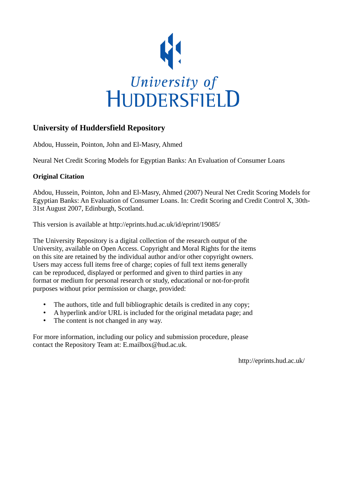

#### **University of Huddersfield Repository**

Abdou, Hussein, Pointon, John and El-Masry, Ahmed

Neural Net Credit Scoring Models for Egyptian Banks: An Evaluation of Consumer Loans

#### **Original Citation**

Abdou, Hussein, Pointon, John and El-Masry, Ahmed (2007) Neural Net Credit Scoring Models for Egyptian Banks: An Evaluation of Consumer Loans. In: Credit Scoring and Credit Control X, 30th-31st August 2007, Edinburgh, Scotland.

This version is available at http://eprints.hud.ac.uk/id/eprint/19085/

The University Repository is a digital collection of the research output of the University, available on Open Access. Copyright and Moral Rights for the items on this site are retained by the individual author and/or other copyright owners. Users may access full items free of charge; copies of full text items generally can be reproduced, displayed or performed and given to third parties in any format or medium for personal research or study, educational or not-for-profit purposes without prior permission or charge, provided:

- The authors, title and full bibliographic details is credited in any copy;
- A hyperlink and/or URL is included for the original metadata page; and
- The content is not changed in any way.

For more information, including our policy and submission procedure, please contact the Repository Team at: E.mailbox@hud.ac.uk.

http://eprints.hud.ac.uk/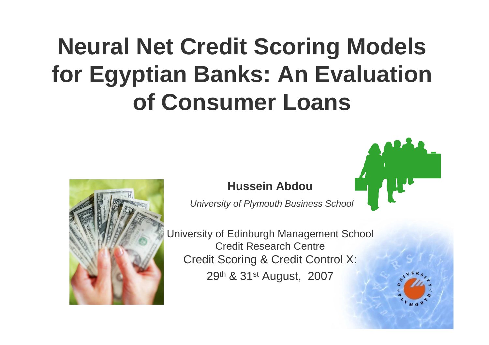# **Neural Net Credit Scoring Models for Egyptian Banks: An Evaluation of Consumer Loans**



#### **Hussein Abdou**

University of Plymouth Business School

University of Edinburgh Management SchoolCredit Research Centre Credit Scoring & Credit Control X: 29<sup>th</sup> & 31<sup>st</sup> August, 2007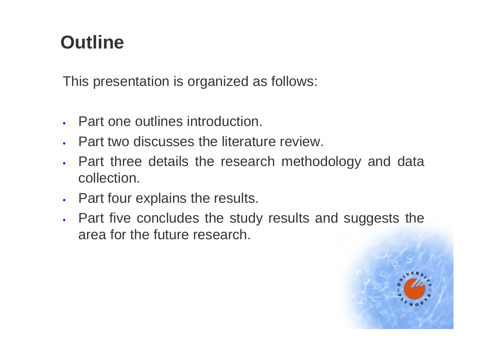# **Outline**

This presentation is organized as follows:

- Part one outlines introduction.
- Part two discusses the literature review.
- • Part three details the research methodology and data collection.
- Part four explains the results.
- • Part five concludes the study results and suggests the area for the future research.

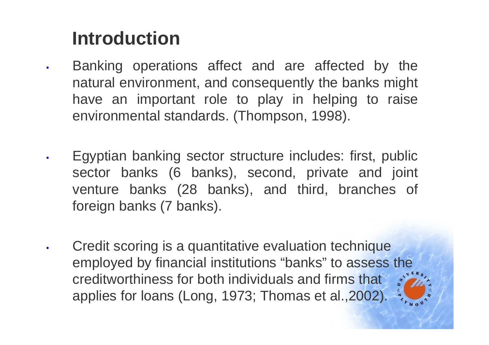# **Introduction**

- • Banking operations affect and are affected by the natural environment, and consequently the banks might have an important role to play in helping to raise environmental standards. (Thompson, 1998).
- • Egyptian banking sector structure includes: first, public sector banks (6 banks), second, private and joint venture banks (28 banks), and third, branches of foreign banks (7 banks).
- • Credit scoring is a quantitative evaluation technique employed by financial institutions "banks" to assess the creditworthiness for both individuals and firms that applies for loans (Long, 1973; Thomas et al.,2002).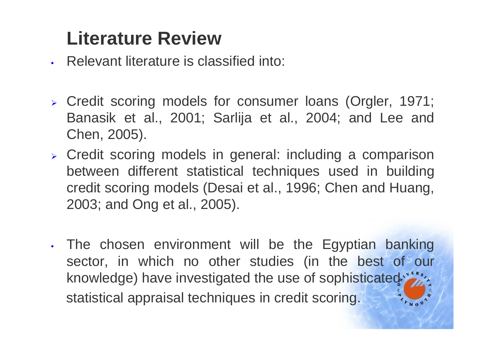### **Literature Review**

- Relevant literature is classified into:
- Credit scoring models for consumer loans (Orgler, 1971; Banasik et al., 2001; Sarlija et al., 2004; and Lee and Chen, 2005).
- Credit scoring models in general: including a comparison between different statistical techniques used in building credit scoring models (Desai et al., 1996; Chen and Huang, 2003; and Ong et al., 2005).
- • The chosen environment will be the Egyptian banking sector, in which no other studies (in the best of our knowledge) have investigated the use of sophisticated.<sup>\*\*</sup> statistical appraisal techniques in credit scoring.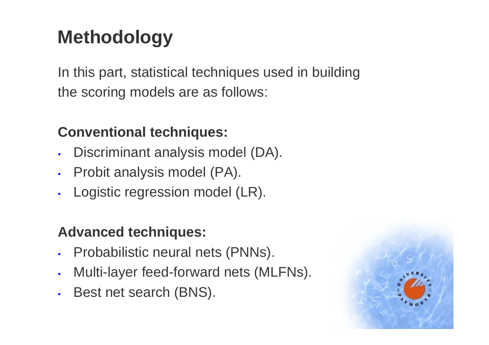# **Methodology**

In this part, statistical techniques used in buildingthe scoring models are as follows:

### **Conventional techniques:**

- •Discriminant analysis model (DA).
- Probit analysis model (PA).
- •Logistic regression model (LR).

### **Advanced techniques:**

- •Probabilistic neural nets (PNNs).
- •Multi-layer feed-forward nets (MLFNs).
- •Best net search (BNS).

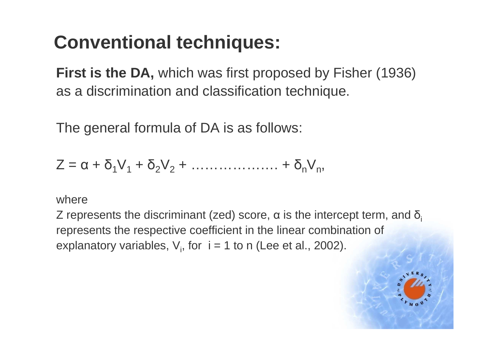# **Conventional techniques:**

**First is the DA,** which was first proposed by Fisher (1936)as a discrimination and classification technique.

The general formula of DA is as follows:

 $Z = \alpha + \delta_1 V_1 + \delta_2 V_2 + \dots + \delta_n V_n$ 

#### where

Z represents the discriminant (zed) score, α is the intercept term, and  $\delta_{\sf i}$ represents the respective coefficient in the linear combination ofexplanatory variables,  $V_i$ , for  $i = 1$  to n (Lee et al., 2002).

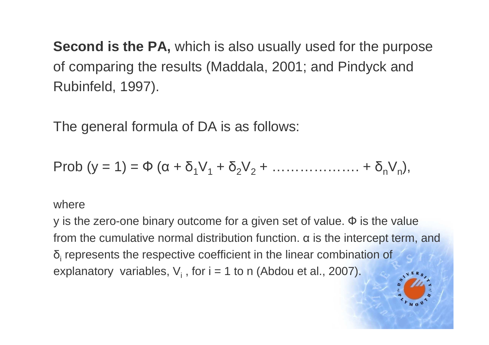**Second is the PA,** which is also usually used for the purposeof comparing the results (Maddala, 2001; and Pindyck andRubinfeld, 1997).

The general formula of DA is as follows:

$$
\text{Prob } (y = 1) = \Phi \left( \alpha + \delta_1 V_1 + \delta_2 V_2 + \ldots + \delta_n V_n \right),
$$

#### where

y is the zero-one binary outcome for a given set of value. Ф is the value from the cumulative normal distribution function.  $α$  is the intercept term, and δ $_{\sf i}$  represents the respective coefficient in the linear combination of explanatory variables,  $\mathsf{V}_{\mathsf{i}}$  , for  $\mathsf{i} = \mathsf{1}$  to  $\mathsf{n}$  (Abdou et al., 2007).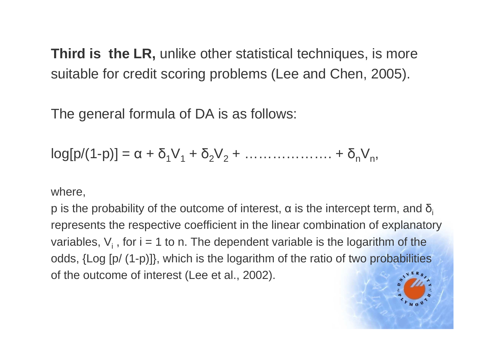**Third is the LR,** unlike other statistical techniques, is moresuitable for credit scoring problems (Lee and Chen, 2005).

The general formula of DA is as follows:

$$
log[p/(1-p)] = \alpha + \delta_1 V_1 + \delta_2 V_2 + \ldots + \delta_n V_n,
$$

where,

p is the probability of the outcome of interest,  $\alpha$  is the intercept term, and  $\delta_{\sf i}$ represents the respective coefficient in the linear combination of explanatoryvariables, V<sub>i</sub> , for i = 1 to n. The dependent variable is the logarithm of the odds, {Log [p/ (1-p)]}, which is the logarithm of the ratio of two probabilities of the outcome of interest (Lee et al., 2002).

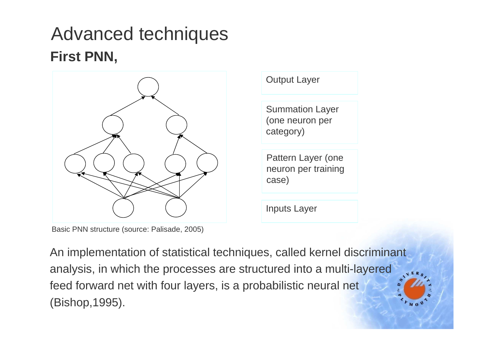### Advanced techniques**First PNN,**



Basic PNN structure (source: Palisade, 2005)

Output LayerSummation Layer (one neuron per category) Pattern Layer (one neuron per training case)

Inputs Layer

An implementation of statistical techniques, called kernel discriminant analysis, in which the processes are structured into a multi-layered feed forward net with four layers, is a probabilistic neural net(Bishop,1995).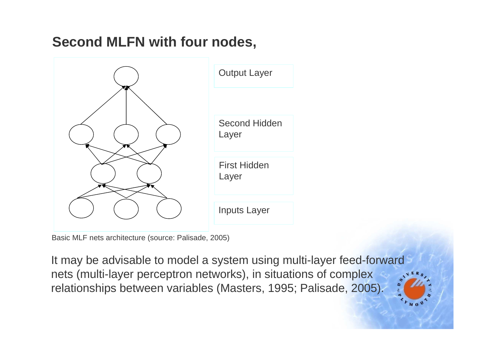### **Second MLFN with four nodes,**



Basic MLF nets architecture (source: Palisade, 2005)

It may be advisable to model a system using multi-layer feed-forward nets (multi-layer perceptron networks), in situations of complex relationships between variables (Masters, 1995; Palisade, 2005).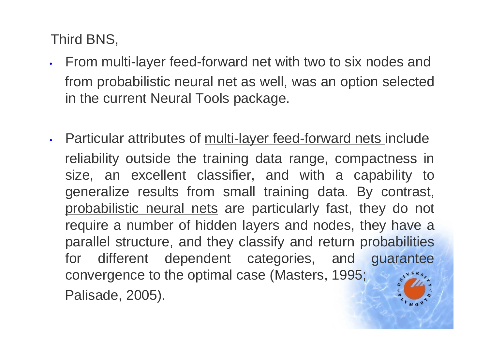Third BNS,

- From multi-layer feed-forward net with two to six nodes andfrom probabilistic neural net as well, was an option selected in the current Neural Tools package.
- Particular attributes of multi-layer feed-forward nets include reliability outside the training data range, compactness in size, an excellent classifier, and with a capability to generalize results from small training data. By contrast, probabilistic neural nets are particularly fast, they do not require a number of hidden layers and nodes, they have a parallel structure, and they classify and return probabilities for different dependent categories, and guarantee convergence to the optimal case (Masters, 1995; Palisade, 2005).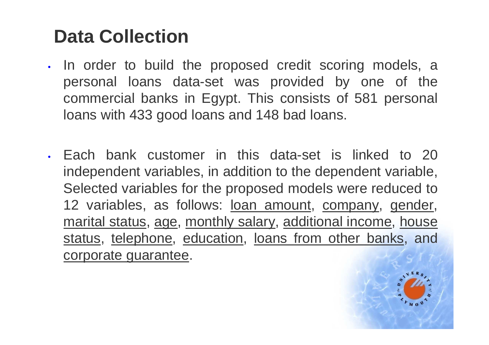# **Data Collection**

- •. In order to build the proposed credit scoring models, a personal loans data-set was provided by one of the commercial banks in Egypt. This consists of 581 personal loans with 433 good loans and 148 bad loans.
- Each bank customer in this data-set is linked to 20 independent variables, in addition to the dependent variable, Selected variables for the proposed models were reduced to 12 variables, as follows: loan amount, company, gender, marital status, age, monthly salary, additional income, house status, telephone, education, loans from other banks, and corporate guarantee.

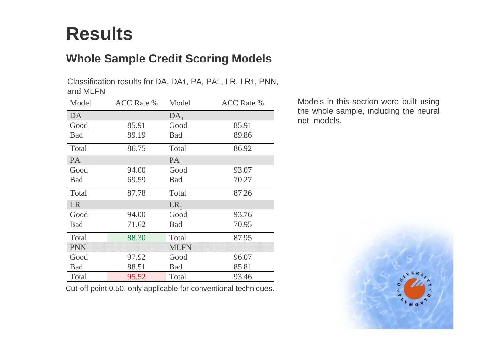### **Results**

#### **Whole Sample Credit Scoring Models**

Classification results for DA, DA<sup>1</sup>, PA, PA<sup>1</sup>, LR, LR<sup>1</sup>, PNN, and MLFN

| Model      | <b>ACC</b> Rate % | Model       | <b>ACC</b> Rate % |
|------------|-------------------|-------------|-------------------|
| DA         |                   | $DA_1$      |                   |
| Good       | 85.91             | Good        | 85.91             |
| <b>Bad</b> | 89.19             | <b>Bad</b>  | 89.86             |
| Total      | 86.75             | Total       | 86.92             |
| <b>PA</b>  |                   | $PA_1$      |                   |
| Good       | 94.00             | Good        | 93.07             |
| <b>Bad</b> | 69.59             | <b>Bad</b>  | 70.27             |
| Total      | 87.78             | Total       | 87.26             |
| <b>LR</b>  |                   | $LR_1$      |                   |
| Good       | 94.00             | Good        | 93.76             |
| <b>Bad</b> | 71.62             | <b>Bad</b>  | 70.95             |
| Total      | 88.30             | Total       | 87.95             |
| <b>PNN</b> |                   | <b>MLFN</b> |                   |
| Good       | 97.92             | Good        | 96.07             |
| Bad        | 88.51             | <b>Bad</b>  | 85.81             |
| Total      | 95.52             | Total       | 93.46             |

Cut-off point 0.50, only applicable for conventional techniques.

Models in this section were built using the whole sample, including the neural net models.

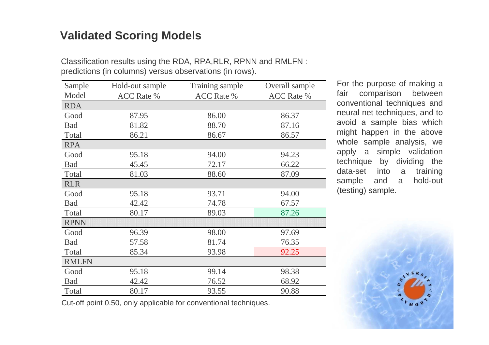#### **Validated Scoring Models**

| Sample       | Hold-out sample   | Training sample   | Overall sample    |
|--------------|-------------------|-------------------|-------------------|
| Model        | <b>ACC Rate %</b> | <b>ACC Rate %</b> | <b>ACC Rate %</b> |
| <b>RDA</b>   |                   |                   |                   |
| Good         | 87.95             | 86.00             | 86.37             |
| Bad          | 81.82             | 88.70             | 87.16             |
| Total        | 86.21             | 86.67             | 86.57             |
| <b>RPA</b>   |                   |                   |                   |
| Good         | 95.18             | 94.00             | 94.23             |
| <b>Bad</b>   | 45.45             | 72.17             | 66.22             |
| Total        | 81.03             | 88.60             | 87.09             |
| <b>RLR</b>   |                   |                   |                   |
| Good         | 95.18             | 93.71             | 94.00             |
| Bad          | 42.42             | 74.78             | 67.57             |
| Total        | 80.17             | 89.03             | 87.26             |
| <b>RPNN</b>  |                   |                   |                   |
| Good         | 96.39             | 98.00             | 97.69             |
| <b>Bad</b>   | 57.58             | 81.74             | 76.35             |
| Total        | 85.34             | 93.98             | 92.25             |
| <b>RMLFN</b> |                   |                   |                   |
| Good         | 95.18             | 99.14             | 98.38             |
| <b>Bad</b>   | 42.42             | 76.52             | 68.92             |
| Total        | 80.17             | 93.55             | 90.88             |

Classification results using the RDA, RPA,RLR, RPNN and RMLFN : predictions (in columns) versus observations (in rows).

> For the purpose of making a fair comparison between conventional techniques and neural net techniques, and to avoid a sample bias which might happen in the above whole sample analysis, we apply a simple validation technique by dividing the a training data-set into hold-out sample and a (testing) sample.



Cut-off point 0.50, only applicable for conventional techniques.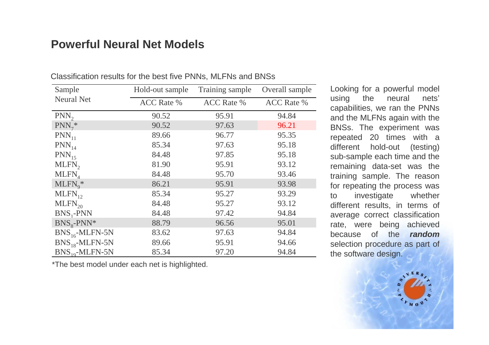#### **Powerful Neural Net Models**

| Sample              | Hold-out sample   | Training sample   | Overall sample    |
|---------------------|-------------------|-------------------|-------------------|
| <b>Neural Net</b>   | <b>ACC Rate %</b> | <b>ACC Rate %</b> | <b>ACC</b> Rate % |
| PNN <sub>2</sub>    | 90.52             | 95.91             | 94.84             |
| $PNN_7^*$           | 90.52             | 97.63             | 96.21             |
| $PNN_{11}$          | 89.66             | 96.77             | 95.35             |
| $PNN_{14}$          | 85.34             | 97.63             | 95.18             |
| $PNN_{15}$          | 84.48             | 97.85             | 95.18             |
| $MLFN$ <sub>2</sub> | 81.90             | 95.91             | 93.12             |
| $MLFN$ <sub>4</sub> | 84.48             | 95.70             | 93.46             |
| $MLFN_{9}^*$        | 86.21             | 95.91             | 93.98             |
| $MLFN_{12}$         | 85.34             | 95.27             | 93.29             |
| $MLFN_{20}$         | 84.48             | 95.27             | 93.12             |
| $BNS_1-PNN$         | 84.48             | 97.42             | 94.84             |
| $BNS8$ -PNN*        | 88.79             | 96.56             | 95.01             |
| $BNS_{16}$ -MLFN-5N | 83.62             | 97.63             | 94.84             |
| $BNS_{18}$ -MLFN-5N | 89.66             | 95.91             | 94.66             |
| $BNS_{10}$ -MLFN-5N | 85.34             | 97.20             | 94.84             |

Classification results for the best five PNNs, MLFNs and BNSs

\*The best model under each net is highlighted.

Looking for a powerful model using the neural nets'capabilities, we ran the PNNs and the MLFNs again with the BNSs. The experiment was repeated 20 times with a different hold-out (testing) sub-sample each time and the remaining data-set was the training sample. The reason for repeating the process was whether to investigate different results, in terms of average correct classification rate, were being achieved because of the **random** selection procedure as part of the software design.

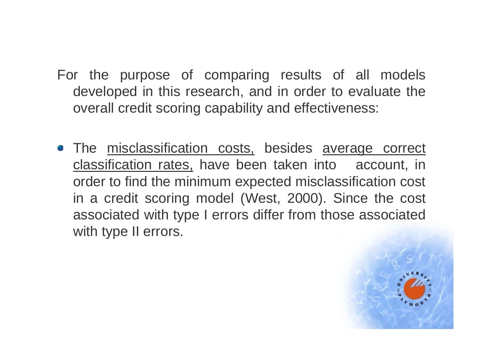- For the purpose of comparing results of all models developed in this research, and in order to evaluate the overall credit scoring capability and effectiveness:
- The misclassification costs, besides average correct classification rates, have been taken into account, in order to find the minimum expected misclassification cost in a credit scoring model (West, 2000). Since the cost associated with type I errors differ from those associated with type II errors.

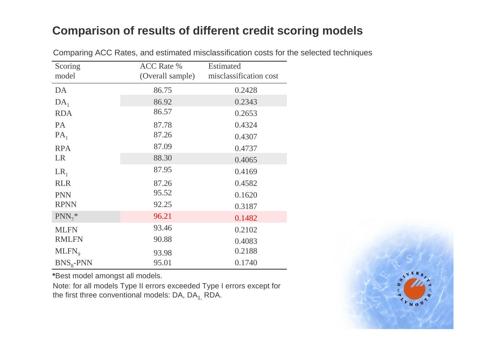#### **Comparison of results of different credit scoring models**

| Scoring<br>model | <b>ACC Rate %</b><br>(Overall sample) | <b>Estimated</b><br>misclassification cost |
|------------------|---------------------------------------|--------------------------------------------|
| DA               | 86.75                                 | 0.2428                                     |
| $DA_1$           | 86.92                                 | 0.2343                                     |
| <b>RDA</b>       | 86.57                                 | 0.2653                                     |
| PA               | 87.78                                 | 0.4324                                     |
| $PA_1$           | 87.26                                 | 0.4307                                     |
| <b>RPA</b>       | 87.09                                 | 0.4737                                     |
| <b>LR</b>        | 88.30                                 | 0.4065                                     |
| $LR_1$           | 87.95                                 | 0.4169                                     |
| <b>RLR</b>       | 87.26                                 | 0.4582                                     |
| <b>PNN</b>       | 95.52                                 | 0.1620                                     |
| <b>RPNN</b>      | 92.25                                 | 0.3187                                     |
| $PNN_7^*$        | 96.21                                 | 0.1482                                     |
| <b>MLFN</b>      | 93.46                                 | 0.2102                                     |
| <b>RMLFN</b>     | 90.88                                 | 0.4083                                     |
| $MLFN_{9}$       | 93.98                                 | 0.2188                                     |
| $BNS8$ -PNN      | 95.01                                 | 0.1740                                     |

Comparing ACC Rates, and estimated misclassification costs for the selected techniques

**\***Best model amongst all models.

Note: for all models Type II errors exceeded Type I errors except for the first three conventional models: DA, DA<sub>1,</sub> RDA.

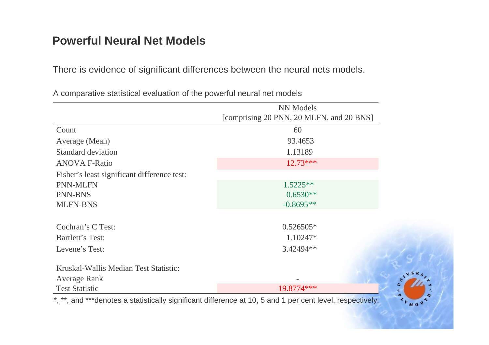#### **Powerful Neural Net Models**

There is evidence of significant differences between the neural nets models.

|                                             | NN Models                                |  |
|---------------------------------------------|------------------------------------------|--|
|                                             | [comprising 20 PNN, 20 MLFN, and 20 BNS] |  |
| Count                                       | 60                                       |  |
| Average (Mean)                              | 93.4653                                  |  |
| <b>Standard deviation</b>                   | 1.13189                                  |  |
| <b>ANOVA F-Ratio</b>                        | $12.73***$                               |  |
| Fisher's least significant difference test: |                                          |  |
| PNN-MLFN                                    | $1.5225**$                               |  |
| <b>PNN-BNS</b>                              | $0.6530**$                               |  |
| <b>MLFN-BNS</b>                             | $-0.8695**$                              |  |
| Cochran's C Test:                           | $0.526505*$                              |  |
| Bartlett's Test:                            | 1.10247*                                 |  |
| Levene's Test:                              | 3.42494**                                |  |
| Kruskal-Wallis Median Test Statistic:       |                                          |  |
| <b>Average Rank</b>                         |                                          |  |
| <b>Test Statistic</b>                       | 19.8774 ***                              |  |

A comparative statistical evaluation of the powerful neural net models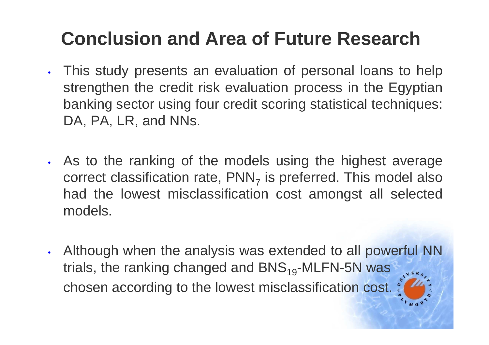# **Conclusion and Area of Future Research**

- This study presents an evaluation of personal loans to help strengthen the credit risk evaluation process in the Egyptian banking sector using four credit scoring statistical techniques:DA, PA, LR, and NNs.
- • As to the ranking of the models using the highest average correct classification rate, PNN<sub>7</sub> had the lowest misclassification cost amongst all selected  $_7$  is preferred. This model also models.
- • Although when the analysis was extended to all powerful NN trials, the ranking changed and  $BNS_{19}$ -MLFN-5N was chosen according to the lowest misclassification cost.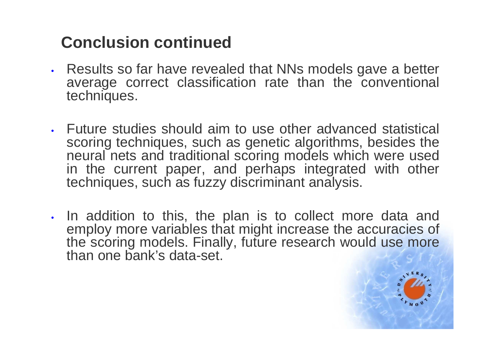### **Conclusion continued**

- • Results so far have revealed that NNs models gave a better average correct classification rate than the conventional techniques.
- Future studies should aim to use other advanced statistical scoring techniques, such as genetic algorithms, besides the neural nets and traditional scoring models which were used in the current paper, and perhaps integrated with other techniques, such as fuzzy discriminant analysis.
- In addition to this, the plan is to collect more data and employ more variables that might increase the accuracies of the scoring models. Finally, future research would use more than one bank's data-set.